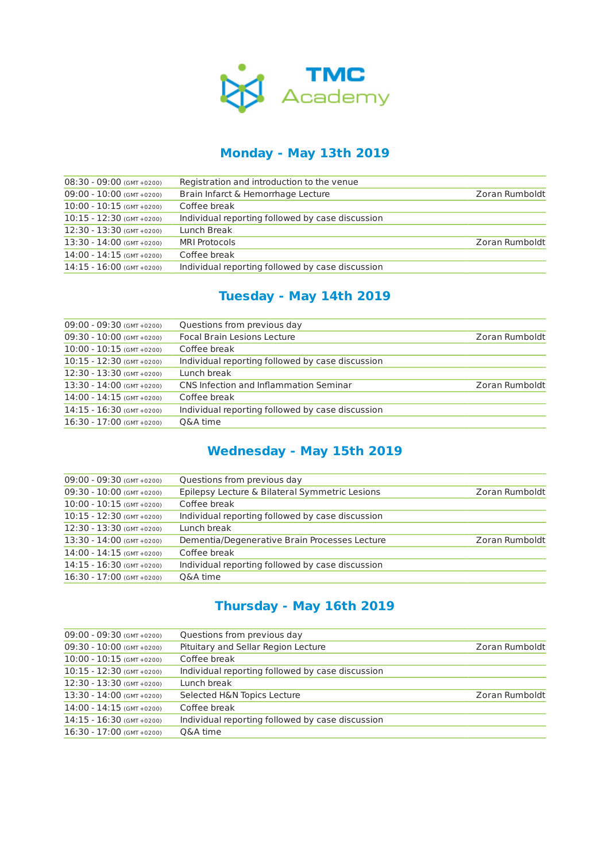

#### **Monday - May 13th 2019**

| $08:30 - 09:00$ (GMT +0200) | Registration and introduction to the venue       |                |
|-----------------------------|--------------------------------------------------|----------------|
| $09:00 - 10:00$ (GMT +0200) | Brain Infarct & Hemorrhage Lecture               | Zoran Rumboldt |
| $10:00 - 10:15$ (GMT +0200) | Coffee break                                     |                |
| $10:15 - 12:30$ (GMT +0200) | Individual reporting followed by case discussion |                |
| $12:30 - 13:30$ (GMT +0200) | Lunch Break                                      |                |
| $13:30 - 14:00$ (GMT +0200) | MRI Protocols                                    | Zoran Rumboldt |
| $14:00 - 14:15$ (GMT +0200) | Coffee break                                     |                |
| $14:15 - 16:00$ (GMT +0200) | Individual reporting followed by case discussion |                |
|                             |                                                  |                |

## **Tuesday - May 14th 2019**

| $09:00 - 09:30$ (GMT +0200) | Questions from previous day                      |                |
|-----------------------------|--------------------------------------------------|----------------|
| $09:30 - 10:00$ (GMT +0200) | <b>Focal Brain Lesions Lecture</b>               | Zoran Rumboldt |
| $10:00 - 10:15$ (GMT +0200) | Coffee break                                     |                |
| $10:15 - 12:30$ (GMT +0200) | Individual reporting followed by case discussion |                |
| $12:30 - 13:30$ (GMT +0200) | Lunch break                                      |                |
| $13:30 - 14:00$ (GMT +0200) | CNS Infection and Inflammation Seminar           | Zoran Rumboldt |
| $14:00 - 14:15$ (GMT +0200) | Coffee break                                     |                |
| $14:15 - 16:30$ (GMT +0200) | Individual reporting followed by case discussion |                |
| $16:30 - 17:00$ (GMT +0200) | Q&A time                                         |                |
|                             |                                                  |                |

## **Wednesday - May 15th 2019**

| $09:00 - 09:30$ (GMT +0200) | Questions from previous day                      |                |
|-----------------------------|--------------------------------------------------|----------------|
| $09:30 - 10:00$ (GMT +0200) | Epilepsy Lecture & Bilateral Symmetric Lesions   | Zoran Rumboldt |
| $10:00 - 10:15$ (GMT +0200) | Coffee break                                     |                |
| $10:15 - 12:30$ (GMT +0200) | Individual reporting followed by case discussion |                |
| $12:30 - 13:30$ (GMT +0200) | Lunch break                                      |                |
| $13:30 - 14:00$ (GMT +0200) | Dementia/Degenerative Brain Processes Lecture    | Zoran Rumboldt |
| $14:00 - 14:15$ (GMT +0200) | Coffee break                                     |                |
| $14:15 - 16:30$ (GMT +0200) | Individual reporting followed by case discussion |                |
| $16:30 - 17:00$ (GMT +0200) | Q&A time                                         |                |
|                             |                                                  |                |

## **Thursday - May 16th 2019**

| $09:00 - 09:30$ (GMT +0200) | Questions from previous day                      |                |
|-----------------------------|--------------------------------------------------|----------------|
| $09:30 - 10:00$ (GMT +0200) | Pituitary and Sellar Region Lecture              | Zoran Rumboldt |
| $10:00 - 10:15$ (GMT +0200) | Coffee break                                     |                |
| $10:15 - 12:30$ (GMT +0200) | Individual reporting followed by case discussion |                |
| $12:30 - 13:30$ (GMT +0200) | Lunch break                                      |                |
| 13:30 - 14:00 (GMT +0200)   | Selected H&N Topics Lecture                      | Zoran Rumboldt |
| $14:00 - 14:15$ (GMT +0200) | Coffee break                                     |                |
| $14:15 - 16:30$ (GMT +0200) | Individual reporting followed by case discussion |                |
| $16:30 - 17:00$ (GMT +0200) | Q&A time                                         |                |
|                             |                                                  |                |